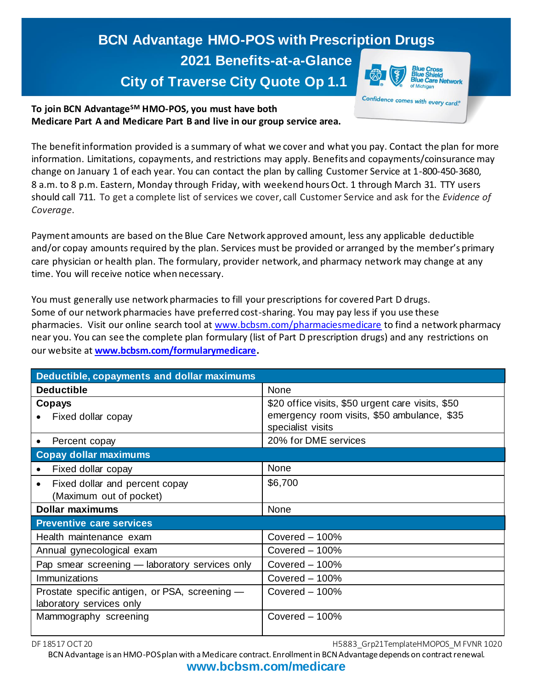## **BCN Advantage HMO-POS with Prescription Drugs 2021 Benefits-at-a-Glance City of Traverse City Quote Op 1.1**

etwork Confidence comes with every card.<sup>®</sup>

**To join BCN AdvantageSM HMO-POS, you must have both Medicare Part A and Medicare Part B and live in our group service area.**

The benefit information provided is a summary of what we cover and what you pay. Contact the plan for more information. Limitations, copayments, and restrictions may apply. Benefits and copayments/coinsurance may change on January 1 of each year. You can contact the plan by calling Customer Service at 1-800-450-3680, 8 a.m. to 8 p.m. Eastern, Monday through Friday, with weekend hours Oct. 1 through March 31. TTY users should call 711. To get a complete list of services we cover, call Customer Service and ask for the *Evidence of Coverage*.

Payment amounts are based on the Blue Care Network approved amount, less any applicable deductible and/or copay amounts required by the plan. Services must be provided or arranged by the member's primary care physician or health plan. The formulary, provider network, and pharmacy network may change at any time. You will receive notice when necessary.

You must generally use network pharmacies to fill your prescriptions for covered Part D drugs. Some of our network pharmacies have preferred cost-sharing. You may pay less if you use these pharmacies. Visit our online search tool at [www.bcbsm.com/pharmaciesmedicare](http://www.bcbsm.com/pharmaciesmedicare) to find a network pharmacy near you. You can see the complete plan formulary (list of Part D prescription drugs) and any restrictions on our website at **[www.bcbsm.com/formularymedicare.](http://www.bcbsm.com/formularymedicare)**

| Deductible, copayments and dollar maximums                                 |                                                                                                                       |
|----------------------------------------------------------------------------|-----------------------------------------------------------------------------------------------------------------------|
| <b>Deductible</b>                                                          | None                                                                                                                  |
| Copays<br>Fixed dollar copay                                               | \$20 office visits, \$50 urgent care visits, \$50<br>emergency room visits, \$50 ambulance, \$35<br>specialist visits |
| Percent copay                                                              | 20% for DME services                                                                                                  |
| <b>Copay dollar maximums</b>                                               |                                                                                                                       |
| Fixed dollar copay                                                         | None                                                                                                                  |
| Fixed dollar and percent copay<br>(Maximum out of pocket)                  | \$6,700                                                                                                               |
| <b>Dollar maximums</b>                                                     | None                                                                                                                  |
| <b>Preventive care services</b>                                            |                                                                                                                       |
| Health maintenance exam                                                    | Covered $-100\%$                                                                                                      |
| Annual gynecological exam                                                  | Covered $-100\%$                                                                                                      |
| Pap smear screening - laboratory services only                             | Covered $-100\%$                                                                                                      |
| Immunizations                                                              | Covered $-100\%$                                                                                                      |
| Prostate specific antigen, or PSA, screening -<br>laboratory services only | Covered $-100\%$                                                                                                      |
| Mammography screening                                                      | Covered $-100%$                                                                                                       |

DF 18517 OCT 20 **H5883** Grp21TemplateHMOPOS\_M FVNR 1020

BCN Advantage is an HMO-POS plan with a Medicare contract. Enrollment in BCN Advantage depends on contract renewal.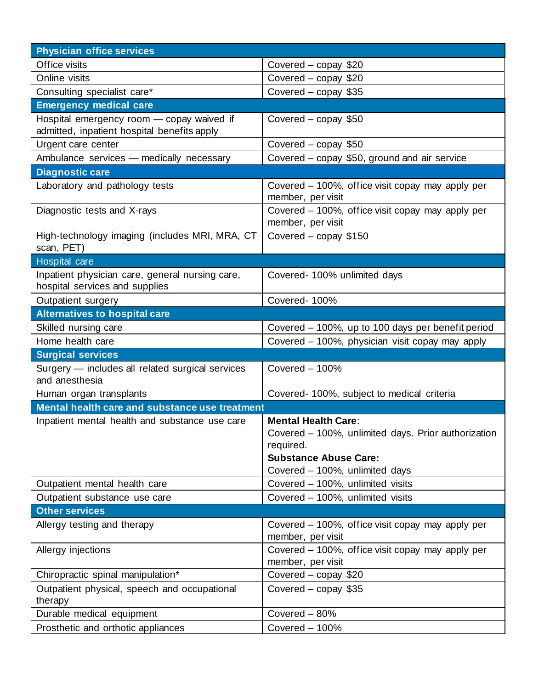| <b>Physician office services</b>                                                         |                                                                                                                                                                  |
|------------------------------------------------------------------------------------------|------------------------------------------------------------------------------------------------------------------------------------------------------------------|
| Office visits                                                                            | Covered – copay \$20                                                                                                                                             |
| Online visits                                                                            | Covered - copay \$20                                                                                                                                             |
| Consulting specialist care*                                                              | Covered - copay \$35                                                                                                                                             |
| <b>Emergency medical care</b>                                                            |                                                                                                                                                                  |
| Hospital emergency room - copay waived if<br>admitted, inpatient hospital benefits apply | Covered - copay \$50                                                                                                                                             |
| Urgent care center                                                                       | Covered - copay \$50                                                                                                                                             |
| Ambulance services - medically necessary                                                 | Covered - copay \$50, ground and air service                                                                                                                     |
| <b>Diagnostic care</b>                                                                   |                                                                                                                                                                  |
| Laboratory and pathology tests                                                           | Covered – 100%, office visit copay may apply per<br>member, per visit                                                                                            |
| Diagnostic tests and X-rays                                                              | Covered – 100%, office visit copay may apply per<br>member, per visit                                                                                            |
| High-technology imaging (includes MRI, MRA, CT<br>scan, PET)                             | Covered – copay \$150                                                                                                                                            |
| <b>Hospital care</b>                                                                     |                                                                                                                                                                  |
| Inpatient physician care, general nursing care,<br>hospital services and supplies        | Covered-100% unlimited days                                                                                                                                      |
| <b>Outpatient surgery</b>                                                                | Covered-100%                                                                                                                                                     |
| <b>Alternatives to hospital care</b>                                                     |                                                                                                                                                                  |
| Skilled nursing care                                                                     | Covered – 100%, up to 100 days per benefit period                                                                                                                |
| Home health care                                                                         | Covered - 100%, physician visit copay may apply                                                                                                                  |
| <b>Surgical services</b>                                                                 |                                                                                                                                                                  |
| Surgery - includes all related surgical services<br>and anesthesia                       | Covered - 100%                                                                                                                                                   |
| Human organ transplants                                                                  | Covered- 100%, subject to medical criteria                                                                                                                       |
| Mental health care and substance use treatment                                           |                                                                                                                                                                  |
| Inpatient mental health and substance use care                                           | <b>Mental Health Care:</b><br>Covered - 100%, unlimited days. Prior authorization<br>required.<br><b>Substance Abuse Care:</b><br>Covered - 100%, unlimited days |
| Outpatient mental health care                                                            | Covered - 100%, unlimited visits                                                                                                                                 |
| Outpatient substance use care                                                            | Covered - 100%, unlimited visits                                                                                                                                 |
| <b>Other services</b>                                                                    |                                                                                                                                                                  |
| Allergy testing and therapy                                                              | Covered – 100%, office visit copay may apply per<br>member, per visit                                                                                            |
| Allergy injections                                                                       | Covered - 100%, office visit copay may apply per<br>member, per visit                                                                                            |
| Chiropractic spinal manipulation*                                                        | Covered - copay \$20                                                                                                                                             |
| Outpatient physical, speech and occupational<br>therapy                                  | Covered $-$ copay \$35                                                                                                                                           |
| Durable medical equipment                                                                | Covered - 80%                                                                                                                                                    |
| Prosthetic and orthotic appliances                                                       | Covered - 100%                                                                                                                                                   |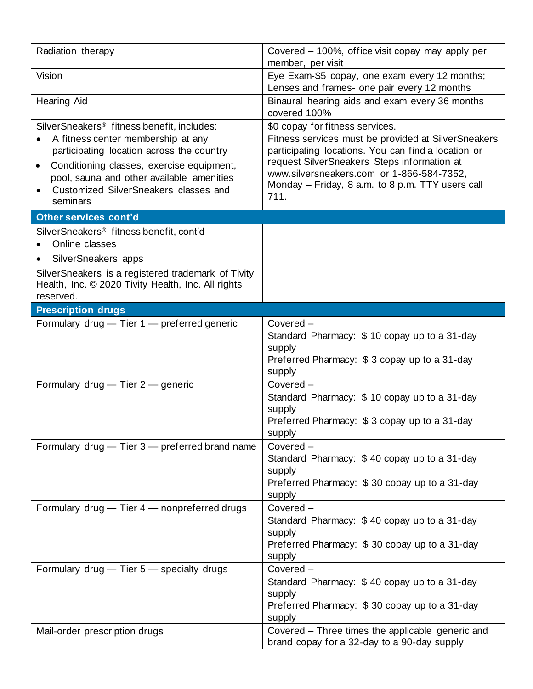| Radiation therapy                                                                                                                                                                                                                                                                                     | Covered - 100%, office visit copay may apply per<br>member, per visit                                                                                                                                                                                                                                 |
|-------------------------------------------------------------------------------------------------------------------------------------------------------------------------------------------------------------------------------------------------------------------------------------------------------|-------------------------------------------------------------------------------------------------------------------------------------------------------------------------------------------------------------------------------------------------------------------------------------------------------|
| Vision                                                                                                                                                                                                                                                                                                | Eye Exam-\$5 copay, one exam every 12 months;<br>Lenses and frames- one pair every 12 months                                                                                                                                                                                                          |
| <b>Hearing Aid</b>                                                                                                                                                                                                                                                                                    | Binaural hearing aids and exam every 36 months<br>covered 100%                                                                                                                                                                                                                                        |
| SilverSneakers <sup>®</sup> fitness benefit, includes:<br>A fitness center membership at any<br>participating location across the country<br>Conditioning classes, exercise equipment,<br>$\bullet$<br>pool, sauna and other available amenities<br>Customized SilverSneakers classes and<br>seminars | \$0 copay for fitness services.<br>Fitness services must be provided at SilverSneakers<br>participating locations. You can find a location or<br>request SilverSneakers Steps information at<br>www.silversneakers.com or 1-866-584-7352,<br>Monday - Friday, 8 a.m. to 8 p.m. TTY users call<br>711. |
| <b>Other services cont'd</b>                                                                                                                                                                                                                                                                          |                                                                                                                                                                                                                                                                                                       |
| SilverSneakers <sup>®</sup> fitness benefit, cont'd<br>Online classes<br>SilverSneakers apps<br>SilverSneakers is a registered trademark of Tivity<br>Health, Inc. © 2020 Tivity Health, Inc. All rights<br>reserved.                                                                                 |                                                                                                                                                                                                                                                                                                       |
| <b>Prescription drugs</b>                                                                                                                                                                                                                                                                             |                                                                                                                                                                                                                                                                                                       |
| Formulary drug - Tier 1 - preferred generic<br>Formulary drug - Tier 2 - generic                                                                                                                                                                                                                      | Covered -<br>Standard Pharmacy: \$10 copay up to a 31-day<br>supply<br>Preferred Pharmacy: \$3 copay up to a 31-day<br>supply<br>Covered -<br>Standard Pharmacy: \$10 copay up to a 31-day                                                                                                            |
|                                                                                                                                                                                                                                                                                                       | supply<br>Preferred Pharmacy: \$3 copay up to a 31-day<br>supply                                                                                                                                                                                                                                      |
| Formulary drug - Tier 3 - preferred brand name                                                                                                                                                                                                                                                        | Covered -<br>Standard Pharmacy: \$40 copay up to a 31-day<br>supply<br>Preferred Pharmacy: \$30 copay up to a 31-day<br>supply                                                                                                                                                                        |
| Formulary drug - Tier 4 - nonpreferred drugs                                                                                                                                                                                                                                                          | Covered -<br>Standard Pharmacy: \$40 copay up to a 31-day<br>supply<br>Preferred Pharmacy: \$30 copay up to a 31-day<br>supply                                                                                                                                                                        |
| Formulary drug - Tier 5 - specialty drugs                                                                                                                                                                                                                                                             | Covered -<br>Standard Pharmacy: \$40 copay up to a 31-day<br>supply<br>Preferred Pharmacy: \$30 copay up to a 31-day<br>supply                                                                                                                                                                        |
| Mail-order prescription drugs                                                                                                                                                                                                                                                                         | Covered - Three times the applicable generic and<br>brand copay for a 32-day to a 90-day supply                                                                                                                                                                                                       |